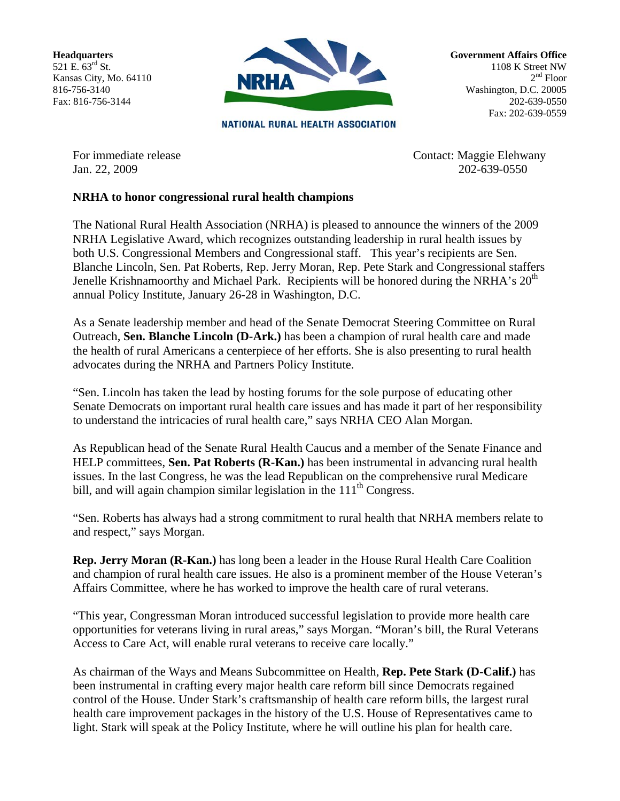**Headquarters**  521 E.  $63^{rd}$  St. Kansas City, Mo. 64110 816-756-3140 Fax: 816-756-3144



**NATIONAL RURAL HEALTH ASSOCIATION** 

**Government Affairs Office**  1108 K Street NW  $2<sup>nd</sup>$  Floor Washington, D.C. 20005 202-639-0550 Fax: 202-639-0559

For immediate release Contact: Maggie Elehwany Jan. 22, 2009 202-639-0550

## **NRHA to honor congressional rural health champions**

The National Rural Health Association (NRHA) is pleased to announce the winners of the 2009 NRHA Legislative Award, which recognizes outstanding leadership in rural health issues by both U.S. Congressional Members and Congressional staff. This year's recipients are Sen. Blanche Lincoln, Sen. Pat Roberts, Rep. Jerry Moran, Rep. Pete Stark and Congressional staffers Jenelle Krishnamoorthy and Michael Park. Recipients will be honored during the NRHA's  $20<sup>th</sup>$ annual Policy Institute, January 26-28 in Washington, D.C.

As a Senate leadership member and head of the Senate Democrat Steering Committee on Rural Outreach, **Sen. Blanche Lincoln (D-Ark.)** has been a champion of rural health care and made the health of rural Americans a centerpiece of her efforts. She is also presenting to rural health advocates during the NRHA and Partners Policy Institute.

"Sen. Lincoln has taken the lead by hosting forums for the sole purpose of educating other Senate Democrats on important rural health care issues and has made it part of her responsibility to understand the intricacies of rural health care," says NRHA CEO Alan Morgan.

As Republican head of the Senate Rural Health Caucus and a member of the Senate Finance and HELP committees, **Sen. Pat Roberts (R-Kan.)** has been instrumental in advancing rural health issues. In the last Congress, he was the lead Republican on the comprehensive rural Medicare bill, and will again champion similar legislation in the  $111<sup>th</sup>$  Congress.

"Sen. Roberts has always had a strong commitment to rural health that NRHA members relate to and respect," says Morgan.

**Rep. Jerry Moran (R-Kan.)** has long been a leader in the House Rural Health Care Coalition and champion of rural health care issues. He also is a prominent member of the House Veteran's Affairs Committee, where he has worked to improve the health care of rural veterans.

"This year, Congressman Moran introduced successful legislation to provide more health care opportunities for veterans living in rural areas," says Morgan. "Moran's bill, the Rural Veterans Access to Care Act, will enable rural veterans to receive care locally."

As chairman of the Ways and Means Subcommittee on Health, **Rep. Pete Stark (D-Calif.)** has been instrumental in crafting every major health care reform bill since Democrats regained control of the House. Under Stark's craftsmanship of health care reform bills, the largest rural health care improvement packages in the history of the U.S. House of Representatives came to light. Stark will speak at the Policy Institute, where he will outline his plan for health care.